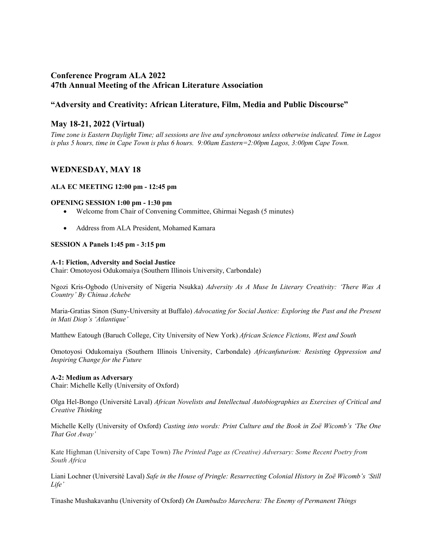# **Conference Program ALA 2022 47th Annual Meeting of the African Literature Association**

# **"Adversity and Creativity: African Literature, Film, Media and Public Discourse"**

# **May 18-21, 2022 (Virtual)**

*Time zone is Eastern Daylight Time; all sessions are live and synchronous unless otherwise indicated. Time in Lagos is plus 5 hours, time in Cape Town is plus 6 hours. 9:00am Eastern=2:00pm Lagos, 3:00pm Cape Town.*

# **WEDNESDAY, MAY 18**

# **ALA EC MEETING 12:00 pm - 12:45 pm**

## **OPENING SESSION 1:00 pm - 1:30 pm**

- Welcome from Chair of Convening Committee, Ghirmai Negash (5 minutes)
- Address from ALA President, Mohamed Kamara

# **SESSION A Panels 1:45 pm - 3:15 pm**

## **A-1: Fiction, Adversity and Social Justice**

Chair: Omotoyosi Odukomaiya (Southern Illinois University, Carbondale)

Ngozi Kris-Ogbodo (University of Nigeria Nsukka) *Adversity As A Muse In Literary Creativity: 'There Was A Country' By Chinua Achebe*

Maria-Gratias Sinon (Suny-University at Buffalo) *Advocating for Social Justice: Exploring the Past and the Present in Mati Diop's 'Atlantique'*

Matthew Eatough (Baruch College, City University of New York) *African Science Fictions, West and South*

Omotoyosi Odukomaiya (Southern Illinois University, Carbondale) *Africanfuturism: Resisting Oppression and Inspiring Change for the Future*

# **A-2: Medium as Adversary**

Chair: Michelle Kelly (University of Oxford)

Olga Hel-Bongo (Université Laval) *African Novelists and Intellectual Autobiographies as Exercises of Critical and Creative Thinking*

Michelle Kelly (University of Oxford) *Casting into words: Print Culture and the Book in Zoë Wicomb's 'The One That Got Away'*

Kate Highman (University of Cape Town) *The Printed Page as (Creative) Adversary: Some Recent Poetry from South Africa*

Liani Lochner (Université Laval) *Safe in the House of Pringle: Resurrecting Colonial History in Zoë Wicomb's 'Still Life'*

Tinashe Mushakavanhu (University of Oxford) *On Dambudzo Marechera: The Enemy of Permanent Things*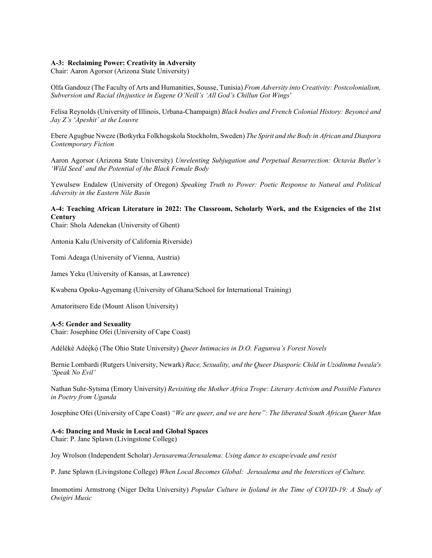#### **A-3: Reclaiming Power: Creativity in Adversity**

Chair: Aaron Agorsor (Arizona State University)

Olfa Gandouz (The Faculty of Arts and Humanities, Sousse, Tunisia) *From Adversity into Creativity: Postcolonialism, Subversion and Racial (In)justice in Eugene O'Neill's 'All God's Chillun Got Wings*'

Felisa Reynolds (University of Illinois, Urbana-Champaign) *Black bodies and French Colonial History: Beyoncé and Jay Z's 'Apeshit' at the Louvre*

Ebere Agugbue Nweze (Botkyrka Folkhogskola Stockholm, Sweden) *The Spirit and the Body in African and Diaspora Contemporary Fiction*

Aaron Agorsor (Arizona State University) *Unrelenting Subjugation and Perpetual Resurrection: Octavia Butler's 'Wild Seed' and the Potential of the Black Female Body*

Yewulsew Endalew (University of Oregon) *Speaking Truth to Power: Poetic Response to Natural and Political Adversity in the Eastern Nile Basin*

# **A-4: Teaching African Literature in 2022: The Classroom, Scholarly Work, and the Exigencies of the 21st Century**

Chair: Shola Adenekan (University of Ghent)

Antonia Kalu (University of California Riverside)

Tomi Adeaga (University of Vienna, Austria)

James Yeku (University of Kansas, at Lawrence)

Kwabena Opoku-Agyemang (University of Ghana/School for International Training)

Amatoritsero Ede (Mount Alison University)

#### **A-5: Gender and Sexuality**

Chair: Josephine Ofei (University of Cape Coast)

Adélékè Adéèkó (The Ohio State University) *Queer Intimacies in D.O. Fagunwa's Forest Novels* 

Bernie Lombardi (Rutgers University, Newark) *Race, Sexuality, and the Queer Diasporic Child in Uzodinma Iweala's 'Speak No Evil'*

Nathan Suhr-Sytsma (Emory University) *Revisiting the Mother Africa Trope: Literary Activism and Possible Futures in Poetry from Uganda*

Josephine Ofei (University of Cape Coast) *"We are queer, and we are here": The liberated South African Queer Man*

#### **A-6: Dancing and Music in Local and Global Spaces**

Chair: P. Jane Splawn (Livingstone College)

Joy Wrolson (Independent Scholar) *Jerusarema/Jerusalema: Using dance to escape/evade and resist*

P. Jane Splawn (Livingstone College) *When Local Becomes Global: Jerusalema and the Interstices of Culture.*

Imomotimi Armstrong (Niger Delta University) *Popular Culture in Ijoland in the Time of COVID-19: A Study of Owigiri Music*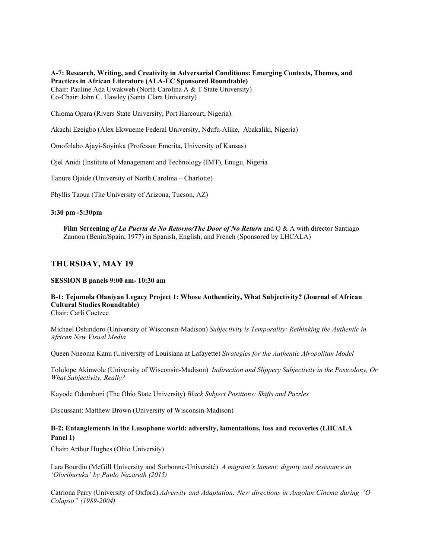**A-7: Research, Writing, and Creativity in Adversarial Conditions: Emerging Contexts, Themes, and Practices in African Literature (ALA-EC Sponsored Roundtable)** Chair: Pauline Ada Uwakweh (North Carolina A & T State University) Co-Chair: John C. Hawley (Santa Clara University)

Chioma Opara (Rivers State University, Port Harcourt, Nigeria).

Akachi Ezeigbo (Alex Ekwueme Federal University, Ndufu-Alike, Abakaliki, Nigeria)

Omofolabo Ajayi-Soyinka (Professor Emerita, University of Kansas)

Ojel Anidi (Institute of Management and Technology (IMT), Enugu, Nigeria

Tanure Ojaide (University of North Carolina – Charlotte)

Phyllis Taoua (The University of Arizona, Tucson, AZ)

#### **3:30 pm -5:30pm**

**Film Screening** *of La Puerta de No Retorno/The Door of No Return* and Q & A with director Santiago Zannou (Benin/Spain, 1977) in Spanish, English, and French (Sponsored by LHCALA)

# **THURSDAY, MAY 19**

#### **SESSION B panels 9:00 am- 10:30 am**

# **B-1: Tejumola Olaniyan Legacy Project 1: Whose Authenticity, What Subjectivity? (Journal of African Cultural Studies Roundtable)**

Chair: Carli Coetzee

Michael Oshindoro (University of Wisconsin-Madison) *Subjectivity is Temporality: Rethinking the Authentic in African New Visual Media*

Queen Nneoma Kanu (University of Louisiana at Lafayette) *Strategies for the Authentic Afropolitan Model*

Tolulope Akinwole (University of Wisconsin-Madison) *Indirection and Slippery Subjectivity in the Postcolony, Or What Subjectivity, Really?*

Kayode Odumboni (The Ohio State University) *Black Subject Positions: Shifts and Puzzles*

Discussant: Matthew Brown (University of Wisconsin-Madison)

# **B-2: Entanglements in the Lusophone world: adversity, lamentations, loss and recoveries (LHCALA Panel 1)**

Chair: Arthur Hughes (Ohio University)

Lara Bourdin (McGill University and Sorbonne-Université) *A migrant's lament: dignity and resistance in 'Oloriburuku' by Paulo Nazareth (2015)*

Catriona Parry (University of Oxford) *Adversity and Adaptation: New directions in Angolan Cinema during "O Colapso" (1989-2004)*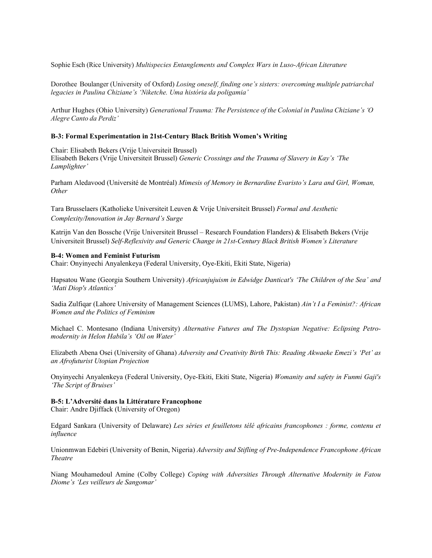Sophie Esch (Rice University) *Multispecies Entanglements and Complex Wars in Luso-African Literature*

Dorothee Boulanger (University of Oxford) *Losing oneself, finding one's sisters: overcoming multiple patriarchal legacies in Paulina Chiziane's 'Niketche. Uma história da poligamia'*

Arthur Hughes (Ohio University) *Generational Trauma: The Persistence of the Colonial in Paulina Chiziane's 'O Alegre Canto da Perdiz'*

#### **B-3: Formal Experimentation in 21st-Century Black British Women's Writing**

Chair: Elisabeth Bekers (Vrije Universiteit Brussel)

Elisabeth Bekers (Vrije Universiteit Brussel) *Generic Crossings and the Trauma of Slavery in Kay's 'The Lamplighter'* 

Parham Aledavood (Université de Montréal) *Mimesis of Memory in Bernardine Evaristo's Lara and Girl, Woman, Other*

Tara Brusselaers (Katholieke Universiteit Leuven & Vrije Universiteit Brussel) *Formal and Aesthetic Complexity/Innovation in Jay Bernard's Surge*

Katrijn Van den Bossche (Vrije Universiteit Brussel – Research Foundation Flanders) & Elisabeth Bekers (Vrije Universiteit Brussel) *Self-Reflexivity and Generic Change in 21st-Century Black British Women's Literature*

#### **B-4: Women and Feminist Futurism**

Chair: Onyinyechi Anyalenkeya (Federal University, Oye-Ekiti, Ekiti State, Nigeria)

Hapsatou Wane (Georgia Southern University) *Africanjujuism in Edwidge Danticat's 'The Children of the Sea' and 'Mati Diop's Atlantics'*

Sadia Zulfiqar (Lahore University of Management Sciences (LUMS), Lahore, Pakistan) *Ain't I a Feminist?: African Women and the Politics of Feminism*

Michael C. Montesano (Indiana University) *Alternative Futures and The Dystopian Negative: Eclipsing Petromodernity in Helon Habila's 'Oil on Water'*

Elizabeth Abena Osei (University of Ghana) *Adversity and Creativity Birth This: Reading Akwaeke Emezi's 'Pet' as an Afrofuturist Utopian Projection*

Onyinyechi Anyalenkeya (Federal University, Oye-Ekiti, Ekiti State, Nigeria) *Womanity and safety in Funmi Gaji's 'The Script of Bruises'*

# **B-5: L'Adversité dans la Littérature Francophone**

Chair: Andre Djiffack (University of Oregon)

Edgard Sankara (University of Delaware) *Les séries et feuilletons télé africains francophones : forme, contenu et influence*

Unionmwan Edebiri (University of Benin, Nigeria) *Adversity and Stifling of Pre-Independence Francophone African Theatre*

Niang Mouhamedoul Amine (Colby College) *Coping with Adversities Through Alternative Modernity in Fatou Diome's 'Les veilleurs de Sangomar'*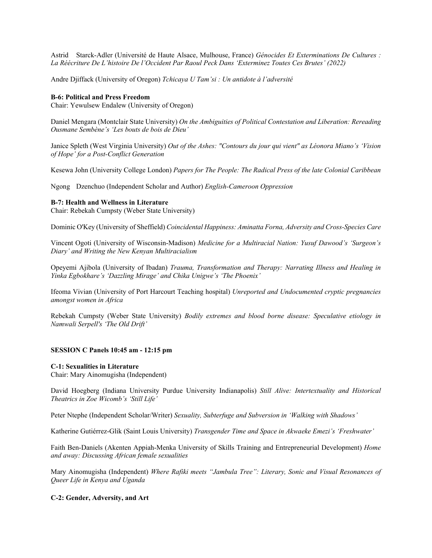Astrid Starck-Adler (Université de Haute Alsace, Mulhouse, France) *Génocides Et Exterminations De Cultures : La Réécriture De L'histoire De l'Occident Par Raoul Peck Dans 'Exterminez Toutes Ces Brutes' (2022)*

Andre Djiffack (University of Oregon) *Tchicaya U Tam'si : Un antidote à l'adversité*

#### **B-6: Political and Press Freedom**

Chair: Yewulsew Endalew (University of Oregon)

Daniel Mengara (Montclair State University) *On the Ambiguities of Political Contestation and Liberation: Rereading Ousmane Sembène's 'Les bouts de bois de Dieu'*

Janice Spleth (West Virginia University) *Out of the Ashes: "Contours du jour qui vient" as Léonora Miano's 'Vision of Hope' for a Post-Conflict Generation*

Kesewa John (University College London) *Papers for The People: The Radical Press of the late Colonial Caribbean*

Ngong Dzenchuo (Independent Scholar and Author) *English-Cameroon Oppression* 

## **B-7: Health and Wellness in Literature**

Chair: Rebekah Cumpsty (Weber State University)

Dominic O'Key (University of Sheffield) *Coincidental Happiness: Aminatta Forna, Adversity and Cross-Species Care*

Vincent Ogoti (University of Wisconsin-Madison) *Medicine for a Multiracial Nation: Yusuf Dawood's 'Surgeon's Diary' and Writing the New Kenyan Multiracialism*

Opeyemi Ajibola (University of Ibadan) *Trauma, Transformation and Therapy: Narrating Illness and Healing in Yinka Egbokhare's 'Dazzling Mirage' and Chika Unigwe's 'The Phoenix'*

Ifeoma Vivian (University of Port Harcourt Teaching hospital) *Unreported and Undocumented cryptic pregnancies amongst women in Africa*

Rebekah Cumpsty (Weber State University) *Bodily extremes and blood borne disease: Speculative etiology in Namwali Serpell's 'The Old Drift'*

#### **SESSION C Panels 10:45 am - 12:15 pm**

# **C-1: Sexualities in Literature**

Chair: Mary Ainomugisha (Independent)

David Hoegberg (Indiana University Purdue University Indianapolis) *Still Alive: Intertextuality and Historical Theatrics in Zoe Wicomb's 'Still Life'*

Peter Ntephe (Independent Scholar/Writer) *Sexuality, Subterfuge and Subversion in 'Walking with Shadows'*

Katherine Gutiérrez-Glik (Saint Louis University) *Transgender Time and Space in Akwaeke Emezi's 'Freshwater'*

Faith Ben-Daniels (Akenten Appiah-Menka University of Skills Training and Entrepreneurial Development) *Home and away: Discussing African female sexualities*

Mary Ainomugisha (Independent) *Where Rafiki meets "Jambula Tree": Literary, Sonic and Visual Resonances of Queer Life in Kenya and Uganda*

# **C-2: Gender, Adversity, and Art**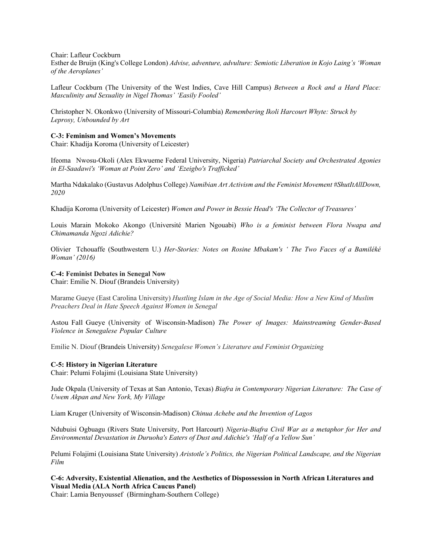Chair: Lafleur Cockburn

Esther de Bruijn (King's College London) *Advise, adventure, advulture: Semiotic Liberation in Kojo Laing's 'Woman of the Aeroplanes'*

Lafleur Cockburn (The University of the West Indies, Cave Hill Campus) *Between a Rock and a Hard Place: Masculinity and Sexuality in Nigel Thomas' 'Easily Fooled'*

Christopher N. Okonkwo (University of Missouri-Columbia) *Remembering Ikoli Harcourt Whyte: Struck by Leprosy, Unbounded by Art*

#### **C-3: Feminism and Women's Movements**

Chair: Khadija Koroma (University of Leicester)

Ifeoma Nwosu-Okoli (Alex Ekwueme Federal University, Nigeria) *Patriarchal Society and Orchestrated Agonies in El-Saadawi's 'Woman at Point Zero' and 'Ezeigbo's Trafficked'*

Martha Ndakalako (Gustavus Adolphus College) *Namibian Art Activism and the Feminist Movement #ShutItAllDown, 2020*

Khadija Koroma (University of Leicester) *Women and Power in Bessie Head's 'The Collector of Treasures'*

Louis Marain Mokoko Akongo (Université Marien Ngouabi) *Who is a feminist between Flora Nwapa and Chimamanda Ngozi Adichie?*

Olivier Tchouaffe (Southwestern U.) *Her-Stories: Notes on Rosine Mbakam's ' The Two Faces of a Bamiléké Woman' (2016)*

#### **C-4: Feminist Debates in Senegal Now**

Chair: Emilie N. Diouf (Brandeis University)

Marame Gueye (East Carolina University) *Hustling Islam in the Age of Social Media: How a New Kind of Muslim Preachers Deal in Hate Speech Against Women in Senegal*

Astou Fall Gueye (University of Wisconsin-Madison) *The Power of Images: Mainstreaming Gender-Based Violence in Senegalese Popular Culture*

Emilie N. Diouf (Brandeis University) *Senegalese Women's Literature and Feminist Organizing*

#### **C-5: History in Nigerian Literature**

Chair: Pelumi Folajimi (Louisiana State University)

Jude Okpala (University of Texas at San Antonio, Texas) *Biafra in Contemporary Nigerian Literature: The Case of Uwem Akpan and New York, My Village*

Liam Kruger (University of Wisconsin-Madison) *Chinua Achebe and the Invention of Lagos*

Ndubuisi Ogbuagu (Rivers State University, Port Harcourt) *Nigeria-Biafra Civil War as a metaphor for Her and Environmental Devastation in Duruoha's Eaters of Dust and Adichie's 'Half of a Yellow Sun'*

Pelumi Folajimi (Louisiana State University) *Aristotle's Politics, the Nigerian Political Landscape, and the Nigerian Film*

**C-6: Adversity, Existential Alienation, and the Aesthetics of Dispossession in North African Literatures and Visual Media (ALA North Africa Caucus Panel)**

Chair: Lamia Benyoussef (Birmingham-Southern College)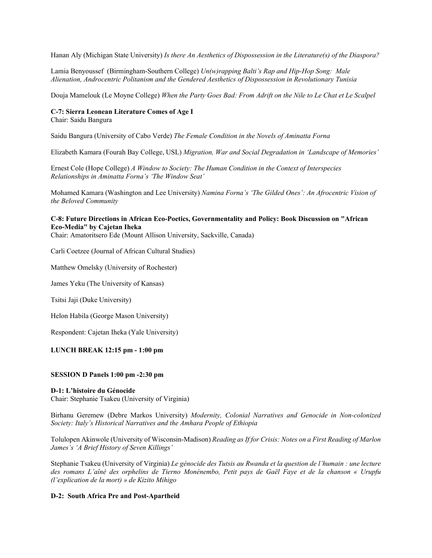Hanan Aly (Michigan State University) *Is there An Aesthetics of Dispossession in the Literature(s) of the Diaspora?* 

Lamia Benyoussef (Birmingham-Southern College) *Un(w)rapping Balti's Rap and Hip-Hop Song: Male Alienation, Androcentric Politanism and the Gendered Aesthetics of Dispossession in Revolutionary Tunisia*

Douja Mamelouk (Le Moyne College) *When the Party Goes Bad: From Adrift on the Nile to Le Chat et Le Scalpel*

# **C-7: Sierra Leonean Literature Comes of Age I**

Chair: Saidu Bangura

Saidu Bangura (University of Cabo Verde) *The Female Condition in the Novels of Aminatta Forna*

Elizabeth Kamara (Fourah Bay College, USL) *Migration, War and Social Degradation in 'Landscape of Memories'*

Ernest Cole (Hope College) *A Window to Society: The Human Condition in the Context of Interspecies Relationships in Aminatta Forna's 'The Window Seat'* 

Mohamed Kamara (Washington and Lee University) *Namina Forna's 'The Gilded Ones': An Afrocentric Vision of the Beloved Community*

# **C-8: Future Directions in African Eco-Poetics, Governmentality and Policy: Book Discussion on "African Eco-Media" by Cajetan Iheka**

Chair: Amatoritsero Ede (Mount Allison University, Sackville, Canada)

Carli Coetzee (Journal of African Cultural Studies)

Matthew Omelsky (University of Rochester)

James Yeku (The University of Kansas)

Tsitsi Jaji (Duke University)

Helon Habila (George Mason University)

Respondent: Cajetan Iheka (Yale University)

## **LUNCH BREAK 12:15 pm - 1:00 pm**

#### **SESSION D Panels 1:00 pm -2:30 pm**

## **D-1: L'histoire du Génocide**

Chair: Stephanie Tsakeu (University of Virginia)

Birhanu Geremew (Debre Markos University) *Modernity, Colonial Narratives and Genocide in Non-colonized Society: Italy's Historical Narratives and the Amhara People of Ethiopia* 

Tolulopen Akinwole (University of Wisconsin-Madison) *Reading as If for Crisis: Notes on a First Reading of Marlon James's 'A Brief History of Seven Killings'*

Stephanie Tsakeu (University of Virginia) *Le génocide des Tutsis au Rwanda et la question de l'humain : une lecture des romans L'aîné des orphelins de Tierno Monénembo, Petit pays de Gaël Faye et de la chanson « Urupfu (l'explication de la mort) » de Kizito Mihigo*

#### **D-2: South Africa Pre and Post-Apartheid**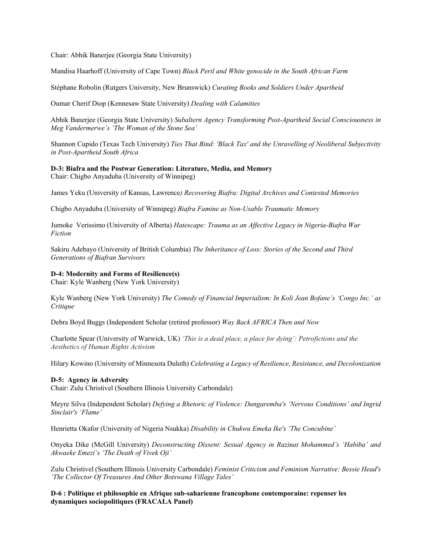Chair: Abhik Banerjee (Georgia State University)

Mandisa Haarhoff (University of Cape Town) *Black Peril and White genocide in the South African Farm*

Stéphane Robolin (Rutgers University, New Brunswick) *Curating Books and Soldiers Under Apartheid*

Oumar Cherif Diop (Kennesaw State University) *Dealing with Calamities*

Abhik Banerjee (Georgia State University) *Subaltern Agency Transforming Post-Apartheid Social Consciousness in Meg Vandermerwe's 'The Woman of the Stone Sea'*

Shannon Cupido (Texas Tech University) *Ties That Bind: 'Black Tax' and the Unravelling of Neoliberal Subjectivity in Post-Apartheid South Africa*

#### **D-3: Biafra and the Postwar Generation: Literature, Media, and Memory**  Chair: Chigbo Anyaduba (University of Winnipeg)

James Yeku (University of Kansas, Lawrence*) Recovering Biafra: Digital Archives and Contested Memories* 

Chigbo Anyaduba (University of Winnipeg) *Biafra Famine as Non-Usable Traumatic Memory*

Jumoke Verissimo (University of Alberta) *Hatescape: Trauma as an Affective Legacy in Nigeria-Biafra War Fiction* 

Sakiru Adebayo (University of British Columbia) *The Inheritance of Loss: Stories of the Second and Third Generations of Biafran Survivors*

## **D-4: Modernity and Forms of Resilience(s)**

Chair: Kyle Wanberg (New York University)

Kyle Wanberg (New York University) *The Comedy of Financial Imperialism: In Koli Jean Bofane's 'Congo Inc.' as Critique*

Debra Boyd Buggs (Independent Scholar (retired professor) *Way Back AFRICA Then and Now*

Charlotte Spear (University of Warwick, UK) *'This is a dead place, a place for dying': Petrofictions and the Aesthetics of Human Rights Activism*

Hilary Kowino (University of Minnesota Duluth) *Celebrating a Legacy of Resilience, Resistance, and Decolonization*

# **D-5: Agency in Adversity**

Chair: Zulu Christivel (Southern Illinois University Carbondale)

Meyre Silva (Independent Scholar) *Defying a Rhetoric of Violence: Dangaremba's 'Nervous Conditions' and Ingrid Sinclair's 'Flame'*

Henrietta Okafor (University of Nigeria Nsukka) *Disability in Chukwu Emeka Ike's 'The Concubine'*

Onyeka Dike (McGill University) *Deconstructing Dissent: Sexual Agency in Razinat Mohammed's 'Habiba' and Akwaeke Emezi's 'The Death of Vivek Oji'*

Zulu Christivel (Southern Illinois University Carbondale) *Feminist Criticism and Feminism Narrative: Bessie Head's 'The Collector Of Treasures And Other Botswana Village Tales'*

**D-6 : Politique et philosophie en Afrique sub-saharienne francophone contemporaine: repenser les dynamiques sociopolitiques (FRACALA Panel)**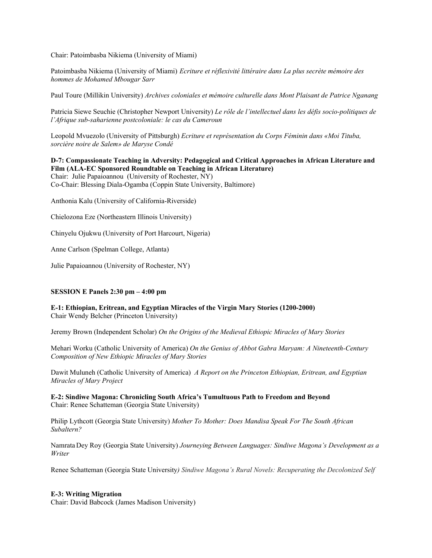Chair: Patoimbasba Nikiema (University of Miami)

Patoimbasba Nikiema (University of Miami) *Ecriture et réflexivité littéraire dans La plus secrète mémoire des hommes de Mohamed Mbougar Sarr*

Paul Toure (Millikin University) *Archives coloniales et mémoire culturelle dans Mont Plaisant de Patrice Nganang*

Patricia Siewe Seuchie (Christopher Newport University) *Le rôle de l'intellectuel dans les défis socio-politiques de l'Afrique sub-saharienne postcoloniale: le cas du Cameroun*

Leopold Mvuezolo (University of Pittsburgh) *Ecriture et représentation du Corps Féminin dans «Moi Tituba, sorcière noire de Salem» de Maryse Condé* 

**D-7: Compassionate Teaching in Adversity: Pedagogical and Critical Approaches in African Literature and Film (ALA-EC Sponsored Roundtable on Teaching in African Literature)**  Chair: Julie Papaioannou (University of Rochester, NY) Co-Chair: Blessing Diala-Ogamba (Coppin State University, Baltimore)

Anthonia Kalu (University of California-Riverside)

Chielozona Eze (Northeastern Illinois University)

Chinyelu Ojukwu (University of Port Harcourt, Nigeria)

Anne Carlson (Spelman College, Atlanta)

Julie Papaioannou (University of Rochester, NY)

#### **SESSION E Panels 2:30 pm – 4:00 pm**

**E-1: Ethiopian, Eritrean, and Egyptian Miracles of the Virgin Mary Stories (1200-2000)**  Chair Wendy Belcher (Princeton University)

Jeremy Brown (Independent Scholar) *On the Origins of the Medieval Ethiopic Miracles of Mary Stories*

Mehari Worku (Catholic University of America) *On the Genius of Abbot Gabra Maryam: A Nineteenth-Century Composition of New Ethiopic Miracles of Mary Stories*

Dawit Muluneh (Catholic University of America) *A Report on the Princeton Ethiopian, Eritrean, and Egyptian Miracles of Mary Project*

**E-2: Sindiwe Magona: Chronicling South Africa's Tumultuous Path to Freedom and Beyond** Chair: Renee Schatteman (Georgia State University)

Philip Lythcott (Georgia State University) *Mother To Mother: Does Mandisa Speak For The South African Subaltern?*

Namrata Dey Roy (Georgia State University) *Journeying Between Languages: Sindiwe Magona's Development as a Writer*

Renee Schatteman (Georgia State University*) Sindiwe Magona's Rural Novels: Recuperating the Decolonized Self*

#### **E-3: Writing Migration**

Chair: David Babcock (James Madison University)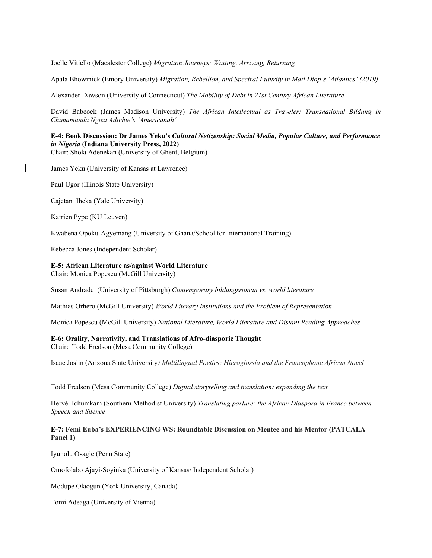Joelle Vitiello (Macalester College) *Migration Journeys: Waiting, Arriving, Returning*

Apala Bhowmick (Emory University) *Migration, Rebellion, and Spectral Futurity in Mati Diop's 'Atlantics' (2019)*

Alexander Dawson (University of Connecticut) *The Mobility of Debt in 21st Century African Literature*

David Babcock (James Madison University) *The African Intellectual as Traveler: Transnational Bildung in Chimamanda Ngozi Adichie's 'Americanah'*

# **E-4: Book Discussion: Dr James Yeku's** *Cultural Netizenship: Social Media, Popular Culture, and Performance in Nigeria* **(Indiana University Press, 2022)**

Chair: Shola Adenekan (University of Ghent, Belgium)

James Yeku (University of Kansas at Lawrence)

Paul Ugor (Illinois State University)

Cajetan Iheka (Yale University)

Katrien Pype (KU Leuven)

Kwabena Opoku-Agyemang (University of Ghana/School for International Training)

Rebecca Jones (Independent Scholar)

## **E-5: African Literature as/against World Literature**

Chair: Monica Popescu (McGill University)

Susan Andrade (University of Pittsburgh) *Contemporary bildungsroman vs. world literature*

Mathias Orhero (McGill University) *World Literary Institutions and the Problem of Representation*

Monica Popescu (McGill University) *National Literature, World Literature and Distant Reading Approaches*

# **E-6: Orality, Narrativity, and Translations of Afro-diasporic Thought**

Chair: Todd Fredson (Mesa Community College)

Isaac Joslin (Arizona State University*) Multilingual Poetics: Hieroglossia and the Francophone African Novel*

Todd Fredson (Mesa Community College) *Digital storytelling and translation: expanding the text*

Hervé Tchumkam (Southern Methodist University) *Translating parlure: the African Diaspora in France between Speech and Silence*

## **E-7: Femi Euba's EXPERIENCING WS: Roundtable Discussion on Mentee and his Mentor (PATCALA Panel 1)**

Iyunolu Osagie (Penn State)

Omofolabo Ajayi-Soyinka (University of Kansas/ Independent Scholar)

Modupe Olaogun (York University, Canada)

Tomi Adeaga (University of Vienna)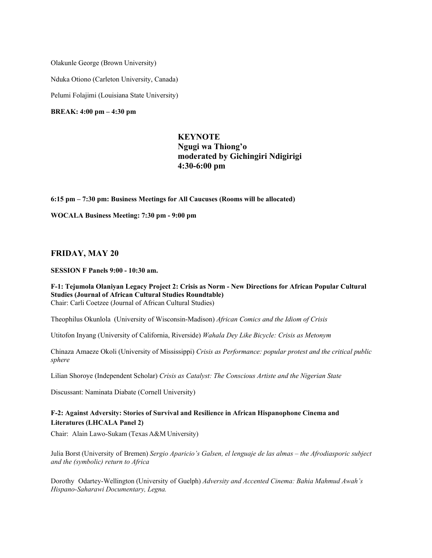Olakunle George (Brown University)

Nduka Otiono (Carleton University, Canada)

Pelumi Folajimi (Louisiana State University)

**BREAK: 4:00 pm – 4:30 pm**

# **KEYNOTE Ngugi wa Thiong'o moderated by Gichingiri Ndigirigi 4:30-6:00 pm**

**6:15 pm – 7:30 pm: Business Meetings for All Caucuses (Rooms will be allocated)**

**WOCALA Business Meeting: 7:30 pm - 9:00 pm**

# **FRIDAY, MAY 20**

**SESSION F Panels 9:00 - 10:30 am.**

#### **F-1: Tejumola Olaniyan Legacy Project 2: Crisis as Norm - New Directions for African Popular Cultural Studies (Journal of African Cultural Studies Roundtable)** Chair: Carli Coetzee (Journal of African Cultural Studies)

Theophilus Okunlola (University of Wisconsin-Madison) *African Comics and the Idiom of Crisis*

Utitofon Inyang (University of California, Riverside) *Wahala Dey Like Bicycle: Crisis as Metonym*

Chinaza Amaeze Okoli (University of Mississippi) *Crisis as Performance: popular protest and the critical public sphere*

Lilian Shoroye (Independent Scholar) *Crisis as Catalyst: The Conscious Artiste and the Nigerian State*

Discussant: Naminata Diabate (Cornell University)

# **F-2: Against Adversity: Stories of Survival and Resilience in African Hispanophone Cinema and Literatures (LHCALA Panel 2)**

Chair: Alain Lawo-Sukam (Texas A&M University)

Julia Borst (University of Bremen) *Sergio Aparicio's Galsen, el lenguaje de las almas – the Afrodiasporic subject and the (symbolic) return to Africa*

Dorothy Odartey-Wellington (University of Guelph) *Adversity and Accented Cinema: Bahia Mahmud Awah's Hispano-Saharawi Documentary, Legna.*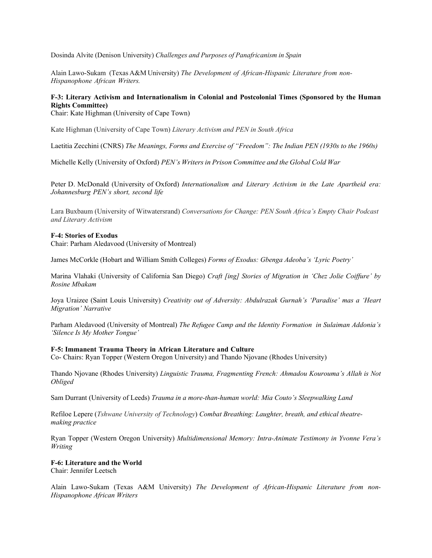Dosinda Alvite (Denison University) *Challenges and Purposes of Panafricanism in Spain*

Alain Lawo-Sukam (Texas A&M University) *The Development of African-Hispanic Literature from non-Hispanophone African Writers.*

# **F-3: Literary Activism and Internationalism in Colonial and Postcolonial Times (Sponsored by the Human Rights Committee)**

Chair: Kate Highman (University of Cape Town)

Kate Highman (University of Cape Town) *Literary Activism and PEN in South Africa*

Laetitia Zecchini (CNRS) *The Meanings, Forms and Exercise of "Freedom": The Indian PEN (1930s to the 1960s)*

Michelle Kelly (University of Oxford) *PEN's Writersin Prison Committee and the Global Cold War*

Peter D. McDonald (University of Oxford) *Internationalism and Literary Activism in the Late Apartheid era: Johannesburg PEN's short, second life*

Lara Buxbaum (University of Witwatersrand) *Conversations for Change: PEN South Africa's Empty Chair Podcast and Literary Activism*

## **F-4: Stories of Exodus**

Chair: Parham Aledavood (University of Montreal)

James McCorkle (Hobart and William Smith Colleges) *Forms of Exodus: Gbenga Adeoba's 'Lyric Poetry'*

Marina Vlahaki (University of California San Diego) *Craft [ing] Stories of Migration in 'Chez Jolie Coiffure' by Rosine Mbakam*

Joya Uraizee (Saint Louis University) *Creativity out of Adversity: Abdulrazak Gurnah's 'Paradise' mas a 'Heart Migration' Narrative*

Parham Aledavood (University of Montreal) *The Refugee Camp and the Identity Formation in Sulaiman Addonia's 'Silence Is My Mother Tongue'*

#### **F-5: Immanent Trauma Theory in African Literature and Culture**

Co- Chairs: Ryan Topper (Western Oregon University) and Thando Njovane (Rhodes University)

Thando Njovane (Rhodes University) *Linguistic Trauma, Fragmenting French: Ahmadou Kourouma's Allah is Not Obliged*

Sam Durrant (University of Leeds) *Trauma in a more-than-human world: Mia Couto's Sleepwalking Land*

Refiloe Lepere (*Tshwane University of Technology*) *Combat Breathing: Laughter, breath, and ethical theatremaking practice*

Ryan Topper (Western Oregon University) *Multidimensional Memory: Intra-Animate Testimony in Yvonne Vera's Writing*

#### **F-6: Literature and the World**

Chair: Jennifer Leetsch

Alain Lawo-Sukam (Texas A&M University) *The Development of African-Hispanic Literature from non-Hispanophone African Writers*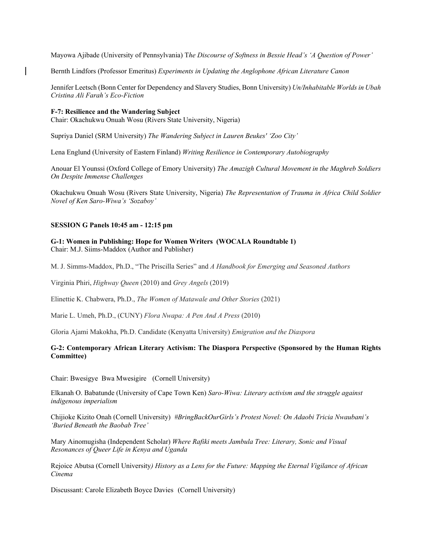Mayowa Ajibade (University of Pennsylvania) T*he Discourse of Softness in Bessie Head's 'A Question of Power'*

Bernth Lindfors (Professor Emeritus) *Experiments in Updating the Anglophone African Literature Canon*

Jennifer Leetsch (Bonn Center for Dependency and Slavery Studies, Bonn University) *Un/Inhabitable Worlds in Ubah Cristina Ali Farah's Eco-Fiction*

**F-7: Resilience and the Wandering Subject** Chair: Okachukwu Onuah Wosu (Rivers State University, Nigeria)

Supriya Daniel (SRM University) *The Wandering Subject in Lauren Beukes' 'Zoo City'*

Lena Englund (University of Eastern Finland) *Writing Resilience in Contemporary Autobiography*

Anouar El Younssi (Oxford College of Emory University) *The Amazigh Cultural Movement in the Maghreb Soldiers On Despite Immense Challenges*

Okachukwu Onuah Wosu (Rivers State University, Nigeria) *The Representation of Trauma in Africa Child Soldier Novel of Ken Saro-Wiwa's 'Sozaboy'*

## **SESSION G Panels 10:45 am - 12:15 pm**

**G-1: Women in Publishing: Hope for Women Writers (WOCALA Roundtable 1)**  Chair: M.J. Siims-Maddox (Author and Publisher)

M. J. Simms-Maddox, Ph.D., "The Priscilla Series" and *A Handbook for Emerging and Seasoned Authors*

Virginia Phiri, *Highway Queen* (2010) and *Grey Angels* (2019)

Elinettie K. Chabwera, Ph.D., *The Women of Matawale and Other Stories* (2021)

Marie L. Umeh, Ph.D., (CUNY) *Flora Nwapa: A Pen And A Press* (2010)

Gloria Ajami Makokha, Ph.D. Candidate (Kenyatta University) *Emigration and the Diaspora*

#### l. **G-2: Contemporary African Literary Activism: The Diaspora Perspective (Sponsored by the Human Rights Committee)**

Chair: Bwesigye Bwa Mwesigire (Cornell University)

Elkanah O. Babatunde (University of Cape Town Ken) *Saro-Wiwa: Literary activism and the struggle against indigenous imperialism* 

Chijioke Kizito Onah (Cornell University) *#BringBackOurGirls's Protest Novel: On Adaobi Tricia Nwaubani's 'Buried Beneath the Baobab Tree'* 

Mary Ainomugisha (Independent Scholar) *Where Rafiki meets Jambula Tree: Literary, Sonic and Visual Resonances of Queer Life in Kenya and Uganda*

Rejoice Abutsa (Cornell University*) History as a Lens for the Future: Mapping the Eternal Vigilance of African Cinema* 

Discussant: Carole Elizabeth Boyce Davies (Cornell University)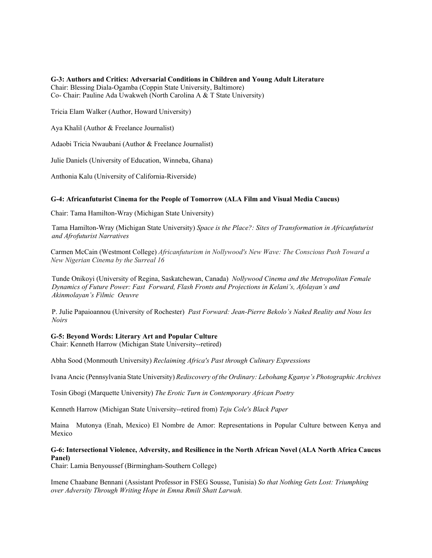**G-3: Authors and Critics: Adversarial Conditions in Children and Young Adult Literature**  Chair: Blessing Diala-Ogamba (Coppin State University, Baltimore)

Co- Chair: Pauline Ada Uwakweh (North Carolina A & T State University)

Tricia Elam Walker (Author, Howard University)

Aya Khalil (Author & Freelance Journalist)

Adaobi Tricia Nwaubani (Author & Freelance Journalist)

Julie Daniels (University of Education, Winneba, Ghana)

Anthonia Kalu (University of California-Riverside)

# **G-4: Africanfuturist Cinema for the People of Tomorrow (ALA Film and Visual Media Caucus)**

Chair: Tama Hamilton-Wray (Michigan State University)

Tama Hamilton-Wray (Michigan State University) *Space is the Place?: Sites of Transformation in Africanfuturist and Afrofuturist Narratives* 

Carmen McCain (Westmont College) *Africanfuturism in Nollywood's New Wave: The Conscious Push Toward a New Nigerian Cinema by the Surreal 16*

Tunde Onikoyi (University of Regina, Saskatchewan, Canada) *Nollywood Cinema and the Metropolitan Female Dynamics of Future Power: Fast Forward, Flash Fronts and Projections in Kelani's, Afolayan's and Akinmolayan's Filmic Oeuvre* 

P. Julie Papaioannou (University of Rochester) *Past Forward: Jean-Pierre Bekolo's Naked Reality and Nous les Noirs* 

**G-5: Beyond Words: Literary Art and Popular Culture**  Chair: Kenneth Harrow (Michigan State University--retired)

Abha Sood (Monmouth University) *Reclaiming Africa's Past through Culinary Expressions*

Ivana Ancic (Pennsylvania State University) *Rediscovery of the Ordinary: Lebohang Kganye's Photographic Archives*

Tosin Gbogi (Marquette University) *The Erotic Turn in Contemporary African Poetry*

Kenneth Harrow (Michigan State University--retired from) *Teju Cole's Black Paper*

Maina Mutonya (Enah, Mexico) El Nombre de Amor: Representations in Popular Culture between Kenya and Mexico

# **G-6: Intersectional Violence, Adversity, and Resilience in the North African Novel (ALA North Africa Caucus Panel)**

Chair: Lamia Benyoussef (Birmingham-Southern College)

Imene Chaabane Bennani (Assistant Professor in FSEG Sousse, Tunisia) *So that Nothing Gets Lost: Triumphing over Adversity Through Writing Hope in Emna Rmili Shatt Larwah.*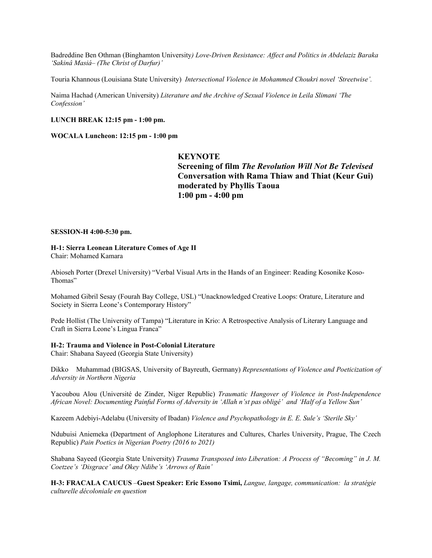Badreddine Ben Othman (Binghamton University*) Love-Driven Resistance: Affect and Politics in Abdelaziz Baraka 'Sakinâ Masiá– (The Christ of Darfur)'*

Touria Khannous (Louisiana State University) *Intersectional Violence in Mohammed Choukri novel 'Streetwise'.*

Naima Hachad (American University) *Literature and the Archive of Sexual Violence in Leila Slimani 'The Confession'*

## **LUNCH BREAK 12:15 pm - 1:00 pm.**

**WOCALA Luncheon: 12:15 pm - 1:00 pm** 

# **KEYNOTE**

**Screening of film** *The Revolution Will Not Be Televised* **Conversation with Rama Thiaw and Thiat (Keur Gui) moderated by Phyllis Taoua 1:00 pm - 4:00 pm**

#### **SESSION-H 4:00-5:30 pm.**

# **H-1: Sierra Leonean Literature Comes of Age II**

Chair: Mohamed Kamara

Abioseh Porter (Drexel University) "Verbal Visual Arts in the Hands of an Engineer: Reading Kosonike Koso-Thomas"

Mohamed Gibril Sesay (Fourah Bay College, USL) "Unacknowledged Creative Loops: Orature, Literature and Society in Sierra Leone's Contemporary History"

Pede Hollist (The University of Tampa) "Literature in Krio: A Retrospective Analysis of Literary Language and Craft in Sierra Leone's Lingua Franca"

#### **H-2: Trauma and Violence in Post-Colonial Literature**

Chair: Shabana Sayeed (Georgia State University)

Dikko Muhammad (BIGSAS, University of Bayreuth, Germany) *Representations of Violence and Poeticization of Adversity in Northern Nigeria*

Yacoubou Alou (Université de Zinder, Niger Republic) *Traumatic Hangover of Violence in Post-Independence African Novel: Documenting Painful Forms of Adversity in 'Allah n'st pas obligé' and 'Half of a Yellow Sun'*

Kazeem Adebiyi-Adelabu (University of Ibadan) *Violence and Psychopathology in E. E. Sule's 'Sterile Sky'*

Ndubuisi Aniemeka (Department of Anglophone Literatures and Cultures, Charles University, Prague, The Czech Republic) *Pain Poetics in Nigerian Poetry (2016 to 2021)*

Shabana Sayeed (Georgia State University) *Trauma Transposed into Liberation: A Process of "Becoming" in J. M. Coetzee's 'Disgrace' and Okey Ndibe's 'Arrows of Rain'*

**H-3: FRACALA CAUCUS** –**Guest Speaker: Eric Essono Tsimi,** *Langue, langage, communication: la stratégie culturelle décoloniale en question*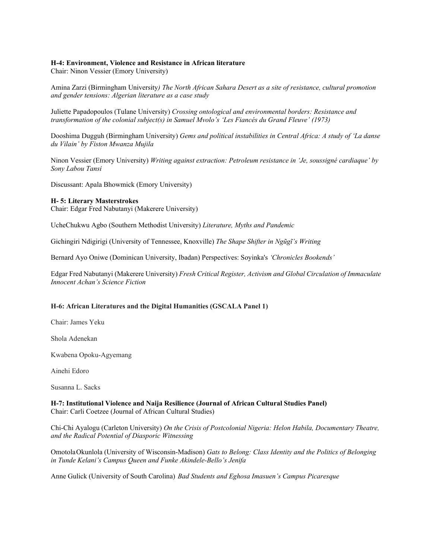#### **H-4: Environment, Violence and Resistance in African literature**

Chair: Ninon Vessier (Emory University)

Amina Zarzi (Birmingham University*) The North African Sahara Desert as a site of resistance, cultural promotion and gender tensions: Algerian literature as a case study*

Juliette Papadopoulos (Tulane University) *Crossing ontological and environmental borders: Resistance and transformation of the colonial subject(s) in Samuel Mvolo's 'Les Fiancés du Grand Fleuve' (1973)*

Dooshima Dugguh (Birmingham University) *Gems and political instabilities in Central Africa: A study of 'La danse du Vilain' by Fiston Mwanza Mujila*

Ninon Vessier (Emory University) *Writing against extraction: Petroleum resistance in 'Je, soussigné cardiaque' by Sony Labou Tansi* 

Discussant: Apala Bhowmick (Emory University)

#### **H- 5: Literary Masterstrokes**

Chair: Edgar Fred Nabutanyi (Makerere University)

UcheChukwu Agbo (Southern Methodist University) *Literature, Myths and Pandemic*

Gichingiri Ndigirigi (University of Tennessee, Knoxville) *The Shape Shifter in Ngũgĩ's Writing*

Bernard Ayo Oniwe (Dominican University, Ibadan) Perspectives: Soyinka's *'Chronicles Bookends'*

Edgar Fred Nabutanyi (Makerere University) *Fresh Critical Register, Activism and Global Circulation of Immaculate Innocent Achan's Science Fiction*

# **H-6: African Literatures and the Digital Humanities (GSCALA Panel 1)**

Chair: James Yeku

Shola Adenekan

Kwabena Opoku-Agyemang

Ainehi Edoro

Susanna L. Sacks

**H-7: Institutional Violence and Naija Resilience (Journal of African Cultural Studies Panel)** Chair: Carli Coetzee (Journal of African Cultural Studies)

Chi-Chi Ayalogu (Carleton University) *On the Crisis of Postcolonial Nigeria: Helon Habila, Documentary Theatre, and the Radical Potential of Diasporic Witnessing* 

OmotolaOkunlola (University of Wisconsin-Madison) *Gats to Belong: Class Identity and the Politics of Belonging in Tunde Kelani's Campus Queen and Funke Akindele-Bello's Jenifa*

Anne Gulick (University of South Carolina) *Bad Students and Eghosa Imasuen's Campus Picaresque*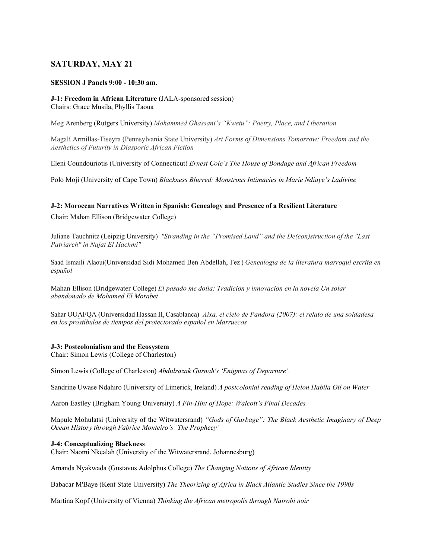# **SATURDAY, MAY 21**

## **SESSION J Panels 9:00 - 10:30 am.**

## **J-1: Freedom in African Literature** (JALA-sponsored session) Chairs: Grace Musila, Phyllis Taoua

Meg Arenberg (Rutgers University) *Mohammed Ghassani's "Kwetu": Poetry, Place, and Liberation*

Magalí Armillas-Tiseyra (Pennsylvania State University) *Art Forms of Dimensions Tomorrow: Freedom and the Aesthetics of Futurity in Diasporic African Fiction*

Eleni Coundouriotis (University of Connecticut) *Ernest Cole's The House of Bondage and African Freedom*

Polo Moji (University of Cape Town) *Blackness Blurred: Monstrous Intimacies in Marie Ndiaye's Ladivine*

## **J-2: Moroccan Narratives Written in Spanish: Genealogy and Presence of a Resilient Literature**

Chair: Mahan Ellison (Bridgewater College)

Juliane Tauchnitz (Leipzig University) *"Stranding in the "Promised Land" and the De(con)struction of the "Last Patriarch" in Najat El Hachmi"*

Saad Ismaili Alaoui(Universidad Sidi Mohamed Ben Abdellah, Fez ) *Genealogía de la literatura marroquí escrita en español*

Mahan Ellison (Bridgewater College) *El pasado me dolía: Tradición y innovación en la novela Un solar abandonado de Mohamed El Morabet*

Sahar OUAFQA (Universidad Hassan II, Casablanca) *Aixa, el cielo de Pandora (2007): el relato de una soldadesa en los prostíbulos de tiempos del protectorado español en Marruecos*

# **J-3: Postcolonialism and the Ecosystem**

Chair: Simon Lewis (College of Charleston)

Simon Lewis (College of Charleston) *Abdulrazak Gurnah's 'Enigmas of Departure'.* 

Sandrine Uwase Ndahiro (University of Limerick, Ireland) *A postcolonial reading of Helon Habila Oil on Water*

Aaron Eastley (Brigham Young University) *A Fin-Hint of Hope: Walcott's Final Decades*

Mapule Mohulatsi (University of the Witwatersrand) *"Gods of Garbage": The Black Aesthetic Imaginary of Deep Ocean History through Fabrice Monteiro's 'The Prophecy'*

# **J-4: Conceptualizing Blackness**

Chair: Naomi Nkealah (University of the Witwatersrand, Johannesburg)

Amanda Nyakwada (Gustavus Adolphus College) *The Changing Notions of African Identity*

Babacar M'Baye (Kent State University) *The Theorizing of Africa in Black Atlantic Studies Since the 1990s*

Martina Kopf (University of Vienna) *Thinking the African metropolis through Nairobi noir*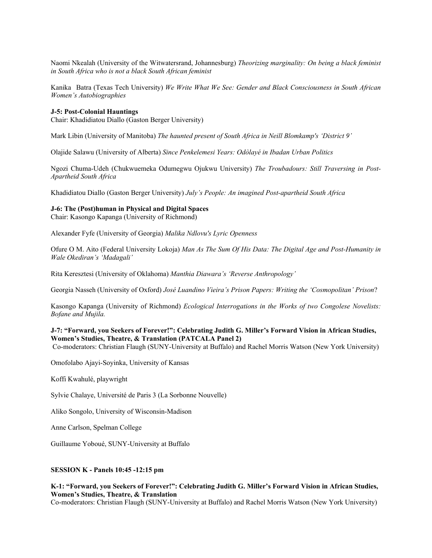Naomi Nkealah (University of the Witwatersrand, Johannesburg) *Theorizing marginality: On being a black feminist in South Africa who is not a black South African feminist*

Kanika Batra (Texas Tech University) *We Write What We See: Gender and Black Consciousness in South African Women's Autobiographies*

#### **J-5: Post-Colonial Hauntings**

Chair: Khadidiatou Diallo (Gaston Berger University)

Mark Libin (University of Manitoba) *The haunted present of South Africa in Neill Blomkamp's 'District 9'*

Olajide Salawu (University of Alberta) *Since Penkelemesi Years: Odòlayé in Ibadan Urban Politics*

Ngozi Chuma-Udeh (Chukwuemeka Odumegwu Ojukwu University) *The Troubadours: Still Traversing in Post-Apartheid South Africa*

Khadidiatou Diallo (Gaston Berger University) *July's People: An imagined Post-apartheid South Africa*

#### **J-6: The (Post)human in Physical and Digital Spaces**

Chair: Kasongo Kapanga (University of Richmond)

Alexander Fyfe (University of Georgia) *Malika Ndlovu's Lyric Openness*

Ofure O M. Aito (Federal University Lokoja) *Man As The Sum Of His Data: The Digital Age and Post-Humanity in Wale Okediran's 'Madagali'*

Rita Keresztesi (University of Oklahoma) *Manthia Diawara's 'Reverse Anthropology'*

Georgia Nasseh (University of Oxford) *José Luandino Vieira's Prison Papers: Writing the 'Cosmopolitan' Prison*?

Kasongo Kapanga (University of Richmond) *Ecological Interrogations in the Works of two Congolese Novelists: Bofane and Mujila.*

# **J-7: "Forward, you Seekers of Forever!": Celebrating Judith G. Miller's Forward Vision in African Studies, Women's Studies, Theatre, & Translation (PATCALA Panel 2)**

Co-moderators: Christian Flaugh (SUNY-University at Buffalo) and Rachel Morris Watson (New York University)

Omofolabo Ajayi-Soyinka, University of Kansas

Koffi Kwahulé, playwright

Sylvie Chalaye, Université de Paris 3 (La Sorbonne Nouvelle)

Aliko Songolo, University of Wisconsin-Madison

Anne Carlson, Spelman College

Guillaume Yoboué, SUNY-University at Buffalo

#### **SESSION K - Panels 10:45 -12:15 pm**

# **K-1: "Forward, you Seekers of Forever!": Celebrating Judith G. Miller's Forward Vision in African Studies, Women's Studies, Theatre, & Translation**

Co-moderators: Christian Flaugh (SUNY-University at Buffalo) and Rachel Morris Watson (New York University)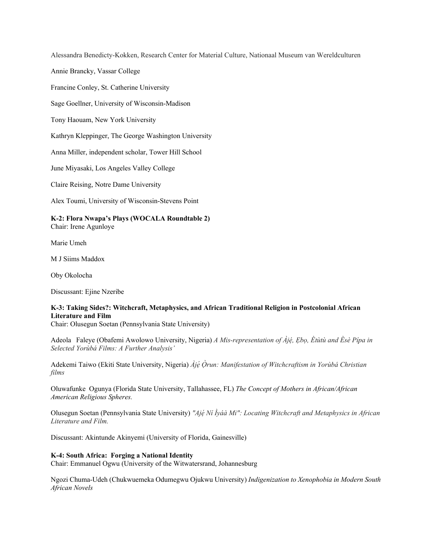Alessandra Benedicty-Kokken, Research Center for Material Culture, Nationaal Museum van Wereldculturen

Annie Brancky, Vassar College

Francine Conley, St. Catherine University

Sage Goellner, University of Wisconsin-Madison

Tony Haouam, New York University

Kathryn Kleppinger, The George Washington University

Anna Miller, independent scholar, Tower Hill School

June Miyasaki, Los Angeles Valley College

Claire Reising, Notre Dame University

Alex Toumi, University of Wisconsin-Stevens Point

**K-2: Flora Nwapa's Plays (WOCALA Roundtable 2)** Chair: Irene Agunloye

Marie Umeh

M J Siims Maddox

Oby Okolocha

Discussant: Ejine Nzeribe

# **K-3: Taking Sides?: Witchcraft, Metaphysics, and African Traditional Religion in Postcolonial African Literature and Film**

Chair: Olusegun Soetan (Pennsylvania State University)

Adeola Faleye (Obafemi Awolowo University, Nigeria) *A Mis-representation of Àjé, ̣ Ẹbọ, Ètùtù and Èsè Pípa in Selected Yorùbá Films: A Further Analysis'*

Adekemi Taiwo (Ekiti State University, Nigeria) *Àjé ̣Ọ̀run: Manifestation of Witchcraftism in Yorùbá Christian films*

Oluwafunke Ogunya (Florida State University, Tallahassee, FL) *The Concept of Mothers in African/African American Religious Spheres.* 

Olusegun Soetan (Pennsylvania State University) *"Ajẹ́ Ní Ìyáà Mi": Locating Witchcraft and Metaphysics in African Literature and Film.*

Discussant: Akintunde Akinyemi (University of Florida, Gainesville)

## **K-4: South Africa: Forging a National Identity**

Chair: Emmanuel Ogwu (University of the Witwatersrand, Johannesburg

Ngozi Chuma-Udeh (Chukwuemeka Odumegwu Ojukwu University) *Indigenization to Xenophobia in Modern South African Novels*